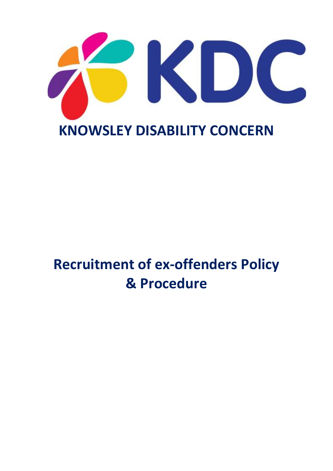

## **Recruitment of ex-offenders Policy & Procedure**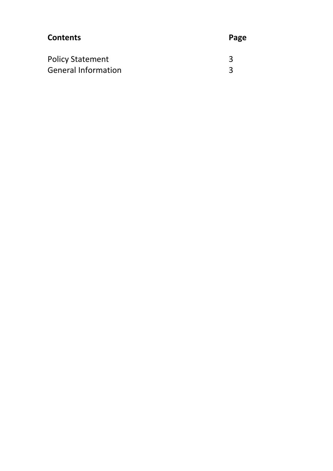| <b>Contents</b>            | Page |
|----------------------------|------|
| <b>Policy Statement</b>    | २    |
| <b>General Information</b> | २    |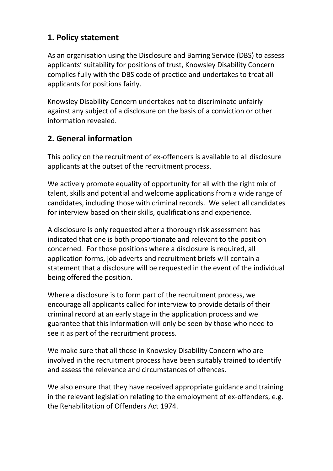## **1. Policy statement**

As an organisation using the Disclosure and Barring Service (DBS) to assess applicants' suitability for positions of trust, Knowsley Disability Concern complies fully with the DBS code of practice and undertakes to treat all applicants for positions fairly.

Knowsley Disability Concern undertakes not to discriminate unfairly against any subject of a disclosure on the basis of a conviction or other information revealed.

## **2. General information**

This policy on the recruitment of ex-offenders is available to all disclosure applicants at the outset of the recruitment process.

We actively promote equality of opportunity for all with the right mix of talent, skills and potential and welcome applications from a wide range of candidates, including those with criminal records. We select all candidates for interview based on their skills, qualifications and experience.

A disclosure is only requested after a thorough risk assessment has indicated that one is both proportionate and relevant to the position concerned. For those positions where a disclosure is required, all application forms, job adverts and recruitment briefs will contain a statement that a disclosure will be requested in the event of the individual being offered the position.

Where a disclosure is to form part of the recruitment process, we encourage all applicants called for interview to provide details of their criminal record at an early stage in the application process and we guarantee that this information will only be seen by those who need to see it as part of the recruitment process.

We make sure that all those in Knowsley Disability Concern who are involved in the recruitment process have been suitably trained to identify and assess the relevance and circumstances of offences.

We also ensure that they have received appropriate guidance and training in the relevant legislation relating to the employment of ex-offenders, e.g. the Rehabilitation of Offenders Act 1974.